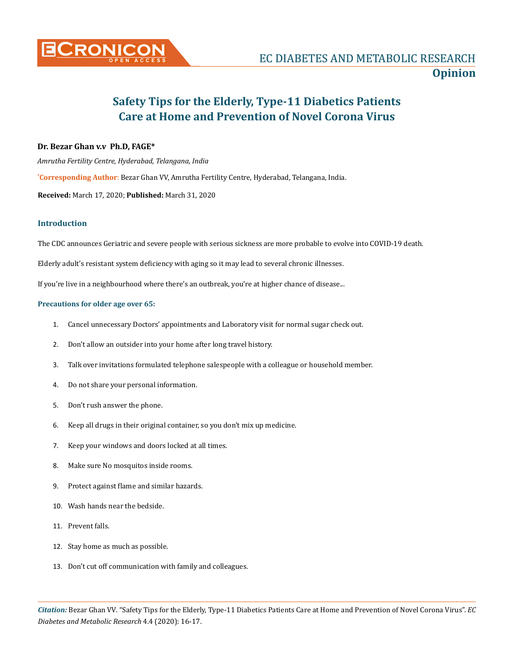

# **Safety Tips for the Elderly, Type-11 Diabetics Patients Care at Home and Prevention of Novel Corona Virus**

## **Dr. Bezar Ghan v.v Ph.D, FAGE\***

*Amrutha Fertility Centre, Hyderabad, Telangana, India*

**\* Corresponding Author**: Bezar Ghan VV, Amrutha Fertility Centre, Hyderabad, Telangana, India.

**Received:** March 17, 2020; **Published:** March 31, 2020

# **Introduction**

The CDC announces Geriatric and severe people with serious sickness are more probable to evolve into COVID-19 death.

Elderly adult's resistant system deficiency with aging so it may lead to several chronic illnesses.

If you're live in a neighbourhood where there's an outbreak, you're at higher chance of disease...

#### **Precautions for older age over 65:**

- 1. Cancel unnecessary Doctors' appointments and Laboratory visit for normal sugar check out.
- 2. Don't allow an outsider into your home after long travel history.
- 3. Talk over invitations formulated telephone salespeople with a colleague or household member.
- 4. Do not share your personal information.
- 5. Don't rush answer the phone.
- 6. Keep all drugs in their original container, so you don't mix up medicine.
- 7. Keep your windows and doors locked at all times.
- 8. Make sure No mosquitos inside rooms.
- 9. Protect against flame and similar hazards.
- 10. Wash hands near the bedside.
- 11. Prevent falls.
- 12. Stay home as much as possible.
- 13. Don't cut off communication with family and colleagues.